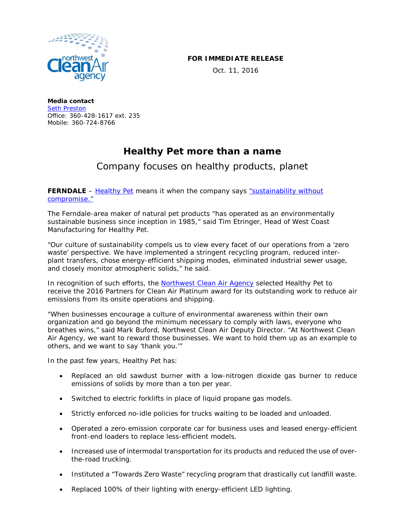

## **FOR IMMEDIATE RELEASE**

Oct. 11, 2016

**Media contact** [Seth Preston](mailto:sethp@nwcleanairwa.gov) Office: 360-428-1617 ext. 235 Mobile: 360-724-8766

## **Healthy Pet more than a name**

## Company focuses on healthy products, planet

**FERNDALE** – [Healthy Pet](https://www.healthy-pet.com/) means it when the company says "sustainability without [compromise."](https://www.healthy-pet.com/about/sustainability-matters)

The Ferndale-area maker of natural pet products "has operated as an environmentally sustainable business since inception in 1985," said Tim Etringer, Head of West Coast Manufacturing for Healthy Pet.

"Our culture of sustainability compels us to view every facet of our operations from a 'zero waste' perspective. We have implemented a stringent recycling program, reduced interplant transfers, chose energy-efficient shipping modes, eliminated industrial sewer usage, and closely monitor atmospheric solids," he said.

In recognition of such efforts, the [Northwest Clean Air Agency](http://nwcleanairwa.gov/) selected Healthy Pet to receive the 2016 Partners for Clean Air Platinum award for its outstanding work to reduce air emissions from its onsite operations and shipping.

"When businesses encourage a culture of environmental awareness within their own organization and go beyond the minimum necessary to comply with laws, everyone who breathes wins," said Mark Buford, Northwest Clean Air Deputy Director. "At Northwest Clean Air Agency, we want to reward those businesses. We want to hold them up as an example to others, and we want to say 'thank you.'"

In the past few years, Healthy Pet has:

- Replaced an old sawdust burner with a low-nitrogen dioxide gas burner to reduce emissions of solids by more than a ton per year.
- Switched to electric forklifts in place of liquid propane gas models.
- Strictly enforced no-idle policies for trucks waiting to be loaded and unloaded.
- Operated a zero-emission corporate car for business uses and leased energy-efficient front-end loaders to replace less-efficient models.
- Increased use of intermodal transportation for its products and reduced the use of overthe-road trucking.
- Instituted a "Towards Zero Waste" recycling program that drastically cut landfill waste.
- Replaced 100% of their lighting with energy-efficient LED lighting.